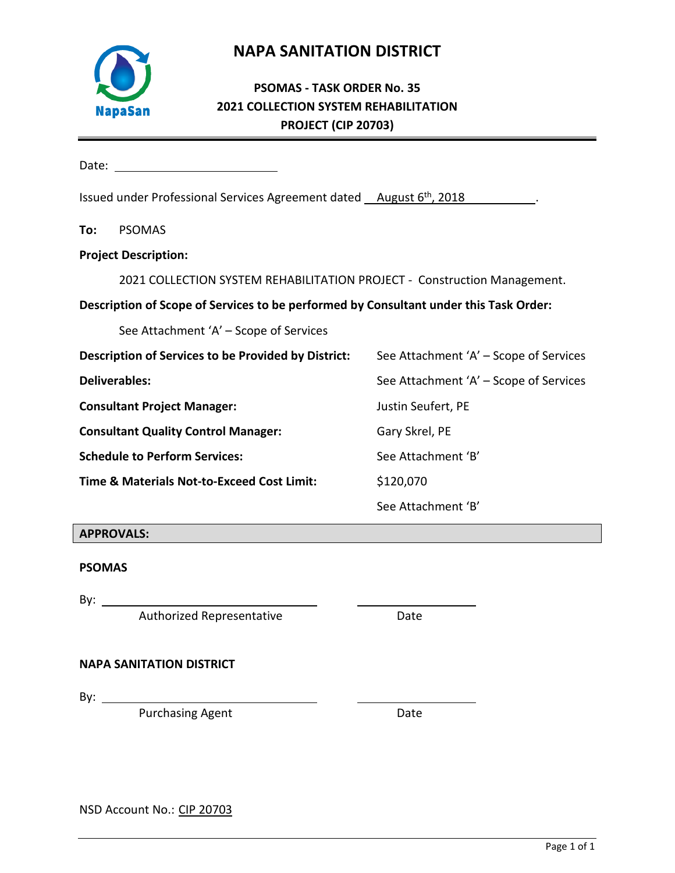## **NAPA SANITATION DISTRICT**



## **PSOMAS - TASK ORDER No. 35 2021 COLLECTION SYSTEM REHABILITATION PROJECT (CIP 20703)**

Date:

| Issued under Professional Services Agreement dated August 6 <sup>th</sup> , 2018 |  |  |
|----------------------------------------------------------------------------------|--|--|
|----------------------------------------------------------------------------------|--|--|

**To:** PSOMAS

**Project Description:**

2021 COLLECTION SYSTEM REHABILITATION PROJECT - Construction Management.

### **Description of Scope of Services to be performed by Consultant under this Task Order:**

See Attachment 'A' – Scope of Services

| Description of Services to be Provided by District: | See Attachment 'A' – Scope of Services |  |  |  |  |  |  |  |
|-----------------------------------------------------|----------------------------------------|--|--|--|--|--|--|--|
| <b>Deliverables:</b>                                | See Attachment 'A' – Scope of Services |  |  |  |  |  |  |  |
| <b>Consultant Project Manager:</b>                  | Justin Seufert, PE                     |  |  |  |  |  |  |  |
| <b>Consultant Quality Control Manager:</b>          | Gary Skrel, PE                         |  |  |  |  |  |  |  |
| <b>Schedule to Perform Services:</b>                | See Attachment 'B'                     |  |  |  |  |  |  |  |
| Time & Materials Not-to-Exceed Cost Limit:          | \$120,070                              |  |  |  |  |  |  |  |
|                                                     | See Attachment 'B'                     |  |  |  |  |  |  |  |

### **APPROVALS:**

### **PSOMAS**

By:  $\_\_$ 

Authorized Representative **Example 2018** Date

### **NAPA SANITATION DISTRICT**

By:  $\_\_\_\_\_\_\_\$ 

Purchasing Agent **Date** 

NSD Account No.: CIP 20703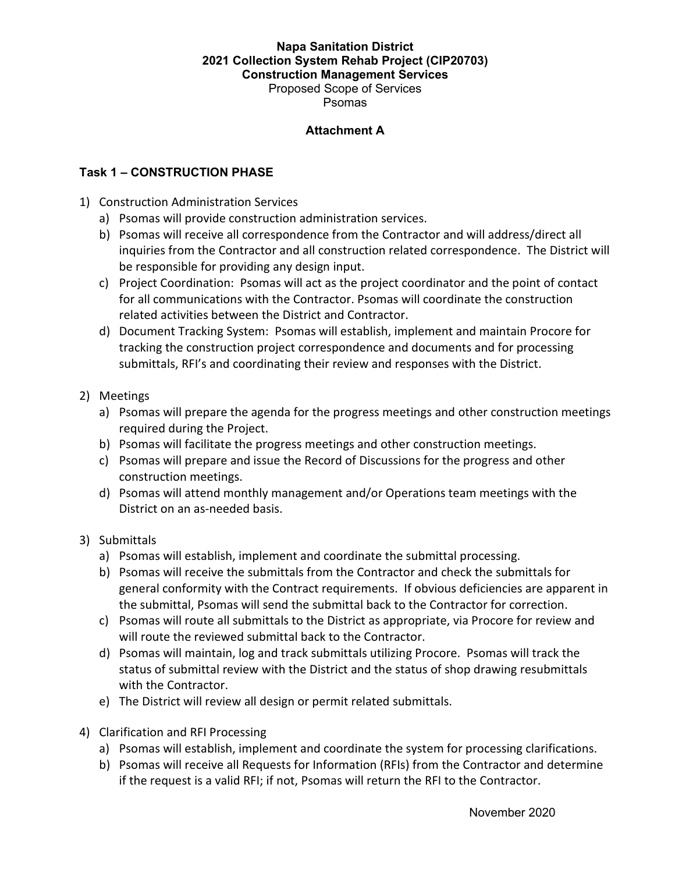#### **Napa Sanitation District 2021 Collection System Rehab Project (CIP20703) Construction Management Services**  Proposed Scope of Services

Psomas

#### **Attachment A**

#### **Task 1 – CONSTRUCTION PHASE**

- 1) Construction Administration Services
	- a) Psomas will provide construction administration services.
	- b) Psomas will receive all correspondence from the Contractor and will address/direct all inquiries from the Contractor and all construction related correspondence. The District will be responsible for providing any design input.
	- c) Project Coordination: Psomas will act as the project coordinator and the point of contact for all communications with the Contractor. Psomas will coordinate the construction related activities between the District and Contractor.
	- d) Document Tracking System: Psomas will establish, implement and maintain Procore for tracking the construction project correspondence and documents and for processing submittals, RFI's and coordinating their review and responses with the District.
- 2) Meetings
	- a) Psomas will prepare the agenda for the progress meetings and other construction meetings required during the Project.
	- b) Psomas will facilitate the progress meetings and other construction meetings.
	- c) Psomas will prepare and issue the Record of Discussions for the progress and other construction meetings.
	- d) Psomas will attend monthly management and/or Operations team meetings with the District on an as-needed basis.

#### 3) Submittals

- a) Psomas will establish, implement and coordinate the submittal processing.
- b) Psomas will receive the submittals from the Contractor and check the submittals for general conformity with the Contract requirements. If obvious deficiencies are apparent in the submittal, Psomas will send the submittal back to the Contractor for correction.
- c) Psomas will route all submittals to the District as appropriate, via Procore for review and will route the reviewed submittal back to the Contractor.
- d) Psomas will maintain, log and track submittals utilizing Procore. Psomas will track the status of submittal review with the District and the status of shop drawing resubmittals with the Contractor.
- e) The District will review all design or permit related submittals.
- 4) Clarification and RFI Processing
	- a) Psomas will establish, implement and coordinate the system for processing clarifications.
	- b) Psomas will receive all Requests for Information (RFIs) from the Contractor and determine if the request is a valid RFI; if not, Psomas will return the RFI to the Contractor.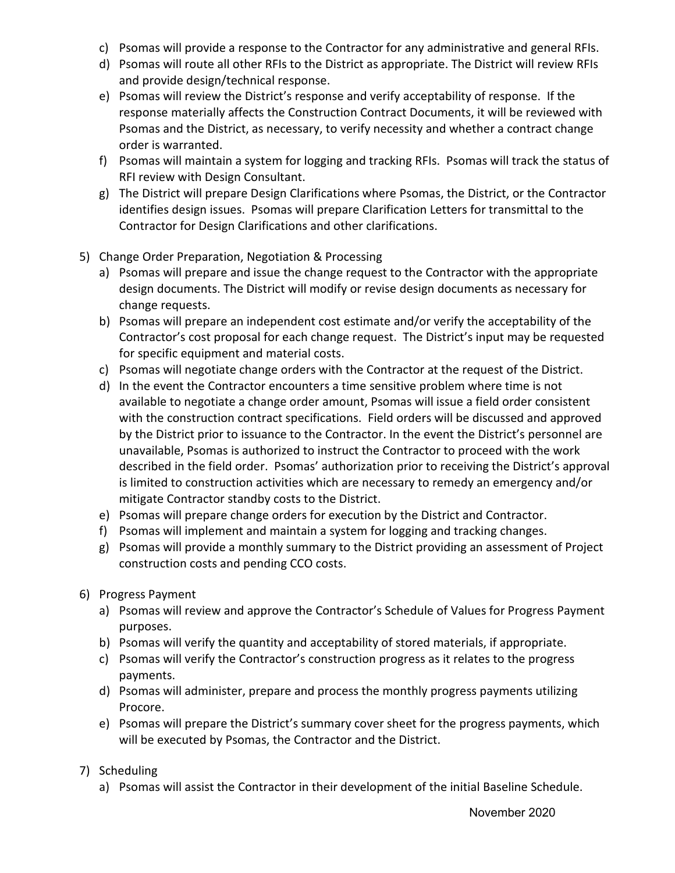- c) Psomas will provide a response to the Contractor for any administrative and general RFIs.
- d) Psomas will route all other RFIs to the District as appropriate. The District will review RFIs and provide design/technical response.
- e) Psomas will review the District's response and verify acceptability of response. If the response materially affects the Construction Contract Documents, it will be reviewed with Psomas and the District, as necessary, to verify necessity and whether a contract change order is warranted.
- f) Psomas will maintain a system for logging and tracking RFIs. Psomas will track the status of RFI review with Design Consultant.
- g) The District will prepare Design Clarifications where Psomas, the District, or the Contractor identifies design issues. Psomas will prepare Clarification Letters for transmittal to the Contractor for Design Clarifications and other clarifications.
- 5) Change Order Preparation, Negotiation & Processing
	- a) Psomas will prepare and issue the change request to the Contractor with the appropriate design documents. The District will modify or revise design documents as necessary for change requests.
	- b) Psomas will prepare an independent cost estimate and/or verify the acceptability of the Contractor's cost proposal for each change request. The District's input may be requested for specific equipment and material costs.
	- c) Psomas will negotiate change orders with the Contractor at the request of the District.
	- d) In the event the Contractor encounters a time sensitive problem where time is not available to negotiate a change order amount, Psomas will issue a field order consistent with the construction contract specifications. Field orders will be discussed and approved by the District prior to issuance to the Contractor. In the event the District's personnel are unavailable, Psomas is authorized to instruct the Contractor to proceed with the work described in the field order. Psomas' authorization prior to receiving the District's approval is limited to construction activities which are necessary to remedy an emergency and/or mitigate Contractor standby costs to the District.
	- e) Psomas will prepare change orders for execution by the District and Contractor.
	- f) Psomas will implement and maintain a system for logging and tracking changes.
	- g) Psomas will provide a monthly summary to the District providing an assessment of Project construction costs and pending CCO costs.
- 6) Progress Payment
	- a) Psomas will review and approve the Contractor's Schedule of Values for Progress Payment purposes.
	- b) Psomas will verify the quantity and acceptability of stored materials, if appropriate.
	- c) Psomas will verify the Contractor's construction progress as it relates to the progress payments.
	- d) Psomas will administer, prepare and process the monthly progress payments utilizing Procore.
	- e) Psomas will prepare the District's summary cover sheet for the progress payments, which will be executed by Psomas, the Contractor and the District.
- 7) Scheduling
	- a) Psomas will assist the Contractor in their development of the initial Baseline Schedule.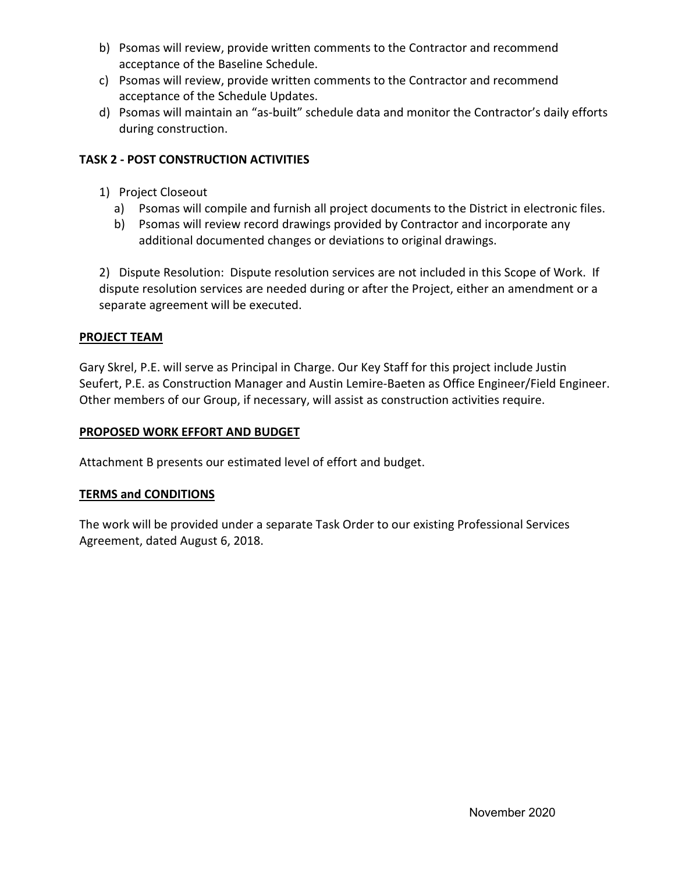- b) Psomas will review, provide written comments to the Contractor and recommend acceptance of the Baseline Schedule.
- c) Psomas will review, provide written comments to the Contractor and recommend acceptance of the Schedule Updates.
- d) Psomas will maintain an "as-built" schedule data and monitor the Contractor's daily efforts during construction.

## **TASK 2 - POST CONSTRUCTION ACTIVITIES**

- 1) Project Closeout
	- a) Psomas will compile and furnish all project documents to the District in electronic files.
	- b) Psomas will review record drawings provided by Contractor and incorporate any additional documented changes or deviations to original drawings.

2) Dispute Resolution: Dispute resolution services are not included in this Scope of Work. If dispute resolution services are needed during or after the Project, either an amendment or a separate agreement will be executed.

## **PROJECT TEAM**

Gary Skrel, P.E. will serve as Principal in Charge. Our Key Staff for this project include Justin Seufert, P.E. as Construction Manager and Austin Lemire-Baeten as Office Engineer/Field Engineer. Other members of our Group, if necessary, will assist as construction activities require.

## **PROPOSED WORK EFFORT AND BUDGET**

Attachment B presents our estimated level of effort and budget.

## **TERMS and CONDITIONS**

The work will be provided under a separate Task Order to our existing Professional Services Agreement, dated August 6, 2018.